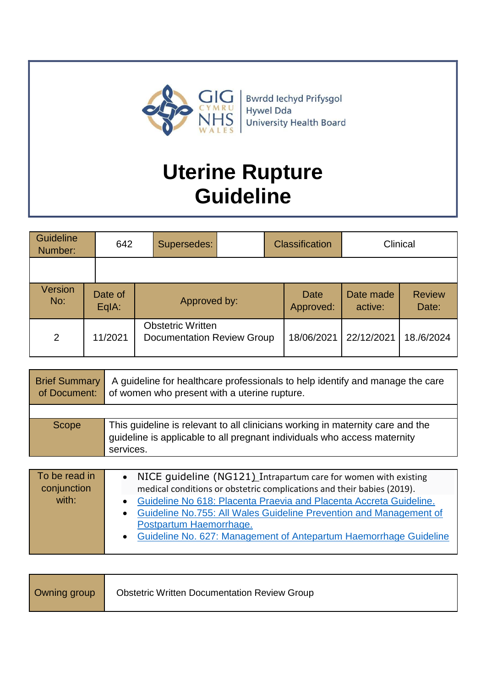

# **Uterine Rupture Guideline**

| Guideline<br>Number: | 642                                                                      |                    | Supersedes:  |            | <b>Classification</b>    |                      | Clinical               |
|----------------------|--------------------------------------------------------------------------|--------------------|--------------|------------|--------------------------|----------------------|------------------------|
|                      |                                                                          |                    |              |            |                          |                      |                        |
| Version<br>No:       |                                                                          | Date of<br>$EqA$ : | Approved by: |            | <b>Date</b><br>Approved: | Date made<br>active: | <b>Review</b><br>Date: |
| $\overline{2}$       | <b>Obstetric Written</b><br>11/2021<br><b>Documentation Review Group</b> |                    | 18/06/2021   | 22/12/2021 | 18./6/2024               |                      |                        |

| <b>Brief Summary</b><br>of Document: | A guideline for healthcare professionals to help identify and manage the care<br>of women who present with a uterine rupture.                                           |
|--------------------------------------|-------------------------------------------------------------------------------------------------------------------------------------------------------------------------|
|                                      |                                                                                                                                                                         |
| Scope                                | This guideline is relevant to all clinicians working in maternity care and the<br>guideline is applicable to all pregnant individuals who access maternity<br>services. |

| To be read in<br>conjunction | NICE guideline (NG121) Intrapartum care for women with existing<br>medical conditions or obstetric complications and their babies (2019). |
|------------------------------|-------------------------------------------------------------------------------------------------------------------------------------------|
| with:                        | Guideline No 618: Placenta Praevia and Placenta Accreta Guideline.<br>$\bullet$                                                           |
|                              | Guideline No.755: All Wales Guideline Prevention and Management of<br>$\bullet$                                                           |
|                              | Postpartum Haemorrhage.                                                                                                                   |
|                              | • Guideline No. 627: Management of Antepartum Haemorrhage Guideline                                                                       |
|                              |                                                                                                                                           |

| Owning group | <b>Obstetric Written Documentation Review Group</b> |
|--------------|-----------------------------------------------------|
|--------------|-----------------------------------------------------|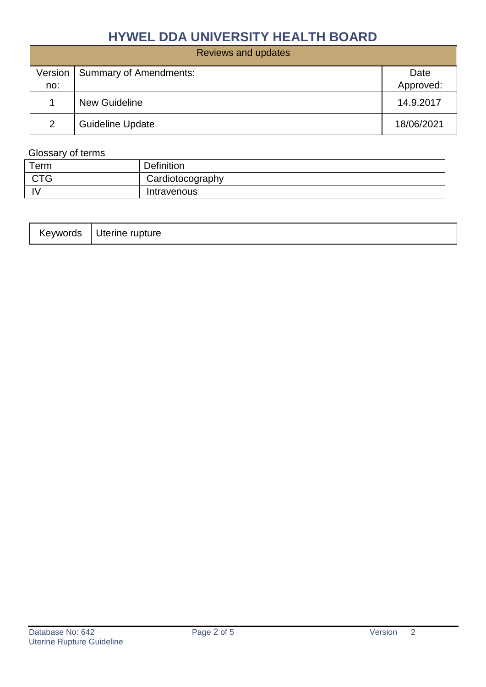|     | Reviews and updates              |            |
|-----|----------------------------------|------------|
|     | Version   Summary of Amendments: | Date       |
| no: |                                  | Approved:  |
|     | <b>New Guideline</b>             | 14.9.2017  |
| 2   | <b>Guideline Update</b>          | 18/06/2021 |

# Glossary of terms

| Term       | <b>Definition</b> |
|------------|-------------------|
| <b>CTG</b> | Cardiotocography  |
|            | Intravenous       |

| .evwords. | rupture<br>Uterine |
|-----------|--------------------|
|-----------|--------------------|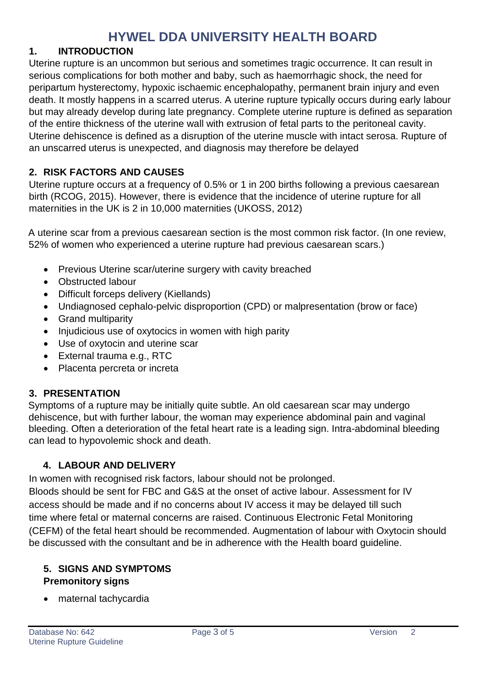#### **1. INTRODUCTION**

Uterine rupture is an uncommon but serious and sometimes tragic occurrence. It can result in serious complications for both mother and baby, such as haemorrhagic shock, the need for peripartum hysterectomy, hypoxic ischaemic encephalopathy, permanent brain injury and even death. It mostly happens in a scarred uterus. A uterine rupture typically occurs during early labour but may already develop during late pregnancy. Complete uterine rupture is defined as separation of the entire thickness of the uterine wall with extrusion of fetal parts to the peritoneal cavity. Uterine dehiscence is defined as a disruption of the uterine muscle with intact serosa. Rupture of an unscarred uterus is unexpected, and diagnosis may therefore be delayed

#### **2. RISK FACTORS AND CAUSES**

Uterine rupture occurs at a frequency of 0.5% or 1 in 200 births following a previous caesarean birth (RCOG, 2015). However, there is evidence that the incidence of uterine rupture for all maternities in the UK is 2 in 10,000 maternities (UKOSS, 2012)

A uterine scar from a previous caesarean section is the most common risk factor. (In one review, 52% of women who experienced a uterine rupture had previous caesarean scars.)

- Previous Uterine scar/uterine surgery with cavity breached
- Obstructed labour
- Difficult forceps delivery (Kiellands)
- Undiagnosed cephalo-pelvic disproportion (CPD) or malpresentation (brow or face)
- Grand multiparity
- Injudicious use of oxytocics in women with high parity
- Use of oxytocin and uterine scar
- External trauma e.g., RTC
- Placenta percreta or increta

# **3. PRESENTATION**

Symptoms of a rupture may be initially quite subtle. An old caesarean scar may undergo dehiscence, but with further labour, the woman may experience abdominal pain and vaginal bleeding. Often a deterioration of the fetal heart rate is a leading sign. Intra-abdominal bleeding can lead to hypovolemic shock and death.

# **4. LABOUR AND DELIVERY**

In women with recognised risk factors, labour should not be prolonged.

Bloods should be sent for FBC and G&S at the onset of active labour. Assessment for IV access should be made and if no concerns about IV access it may be delayed till such time where fetal or maternal concerns are raised. Continuous Electronic Fetal Monitoring (CEFM) of the fetal heart should be recommended. Augmentation of labour with Oxytocin should be discussed with the consultant and be in adherence with the Health board guideline.

#### **5. SIGNS AND SYMPTOMS Premonitory signs**

maternal tachycardia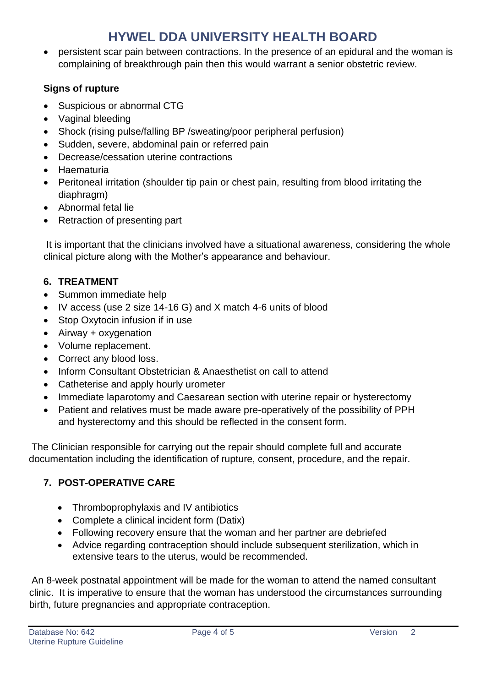• persistent scar pain between contractions. In the presence of an epidural and the woman is complaining of breakthrough pain then this would warrant a senior obstetric review.

### **Signs of rupture**

- Suspicious or abnormal CTG
- Vaginal bleeding
- Shock (rising pulse/falling BP /sweating/poor peripheral perfusion)
- Sudden, severe, abdominal pain or referred pain
- Decrease/cessation uterine contractions
- Haematuria
- Peritoneal irritation (shoulder tip pain or chest pain, resulting from blood irritating the diaphragm)
- Abnormal fetal lie
- Retraction of presenting part

It is important that the clinicians involved have a situational awareness, considering the whole clinical picture along with the Mother's appearance and behaviour.

# **6. TREATMENT**

- Summon immediate help
- IV access (use 2 size 14-16 G) and X match 4-6 units of blood
- Stop Oxytocin infusion if in use
- Airway + oxygenation
- Volume replacement.
- Correct any blood loss.
- Inform Consultant Obstetrician & Anaesthetist on call to attend
- Catheterise and apply hourly urometer
- Immediate laparotomy and Caesarean section with uterine repair or hysterectomy
- Patient and relatives must be made aware pre-operatively of the possibility of PPH and hysterectomy and this should be reflected in the consent form.

The Clinician responsible for carrying out the repair should complete full and accurate documentation including the identification of rupture, consent, procedure, and the repair.

# **7. POST-OPERATIVE CARE**

- Thromboprophylaxis and IV antibiotics
- Complete a clinical incident form (Datix)
- Following recovery ensure that the woman and her partner are debriefed
- Advice regarding contraception should include subsequent sterilization, which in extensive tears to the uterus, would be recommended.

An 8-week postnatal appointment will be made for the woman to attend the named consultant clinic. It is imperative to ensure that the woman has understood the circumstances surrounding birth, future pregnancies and appropriate contraception.